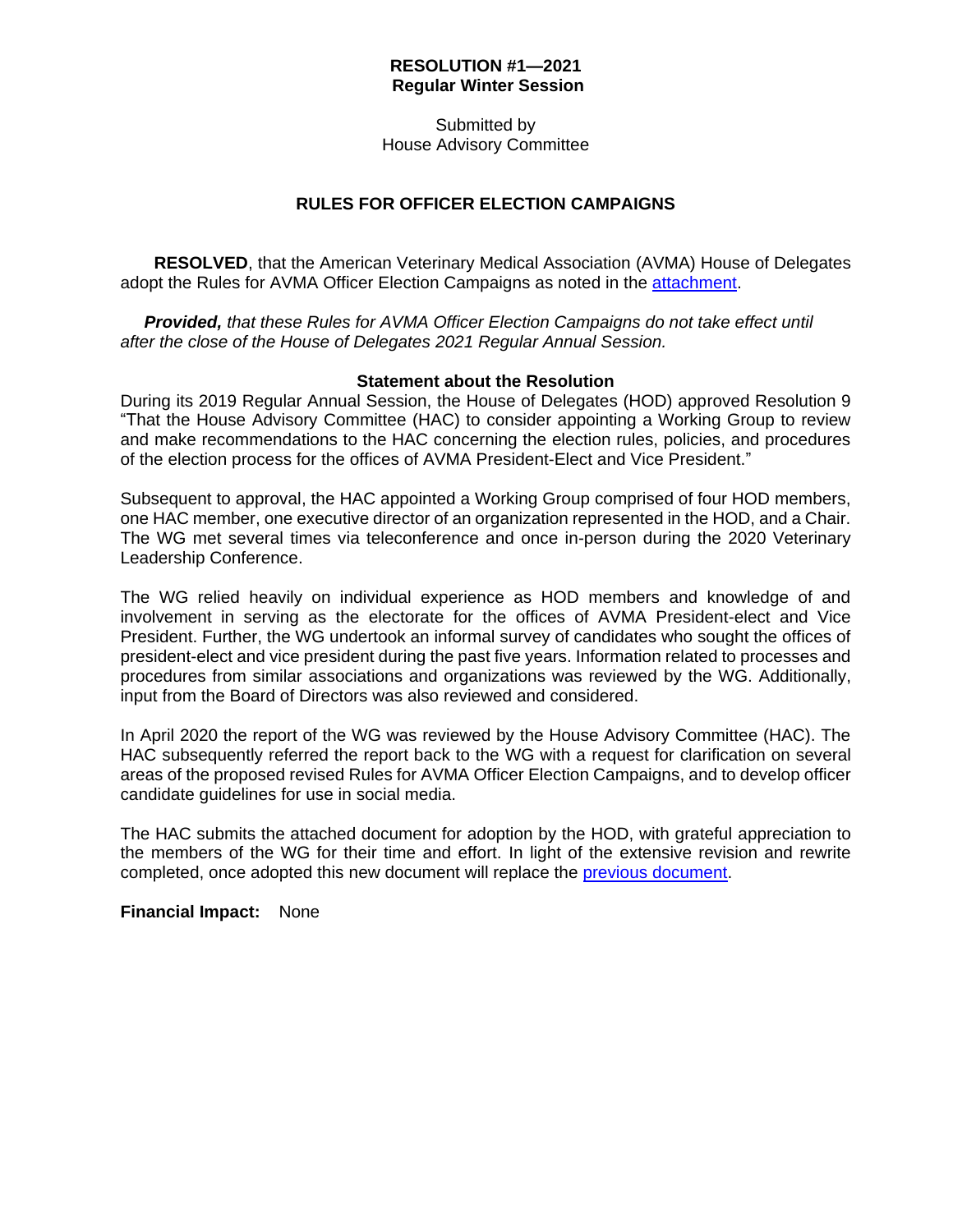## **RESOLUTION #1—2021 Regular Winter Session**

Submitted by House Advisory Committee

## **RULES FOR OFFICER ELECTION CAMPAIGNS**

**RESOLVED**, that the American Veterinary Medical Association (AVMA) House of Delegates adopt the Rules for AVMA Officer Election Campaigns as noted in the [attachment.](https://www.avma.org/sites/default/files/2020-12/2021W_Resolution1_Rules_attch.pdf)

 *Provided, that these Rules for AVMA Officer Election Campaigns do not take effect until after the close of the House of Delegates 2021 Regular Annual Session.*

## **Statement about the Resolution**

During its 2019 Regular Annual Session, the House of Delegates (HOD) approved Resolution 9 "That the House Advisory Committee (HAC) to consider appointing a Working Group to review and make recommendations to the HAC concerning the election rules, policies, and procedures of the election process for the offices of AVMA President-Elect and Vice President."

Subsequent to approval, the HAC appointed a Working Group comprised of four HOD members, one HAC member, one executive director of an organization represented in the HOD, and a Chair. The WG met several times via teleconference and once in-person during the 2020 Veterinary Leadership Conference.

The WG relied heavily on individual experience as HOD members and knowledge of and involvement in serving as the electorate for the offices of AVMA President-elect and Vice President. Further, the WG undertook an informal survey of candidates who sought the offices of president-elect and vice president during the past five years. Information related to processes and procedures from similar associations and organizations was reviewed by the WG. Additionally, input from the Board of Directors was also reviewed and considered.

In April 2020 the report of the WG was reviewed by the House Advisory Committee (HAC). The HAC subsequently referred the report back to the WG with a request for clarification on several areas of the proposed revised Rules for AVMA Officer Election Campaigns, and to develop officer candidate guidelines for use in social media.

The HAC submits the attached document for adoption by the HOD, with grateful appreciation to the members of the WG for their time and effort. In light of the extensive revision and rewrite completed, once adopted this new document will replace the [previous document.](https://www.avma.org/sites/default/files/2020-12/2021W_Resolution1_Rules_attch2.pdf)

**Financial Impact:** None